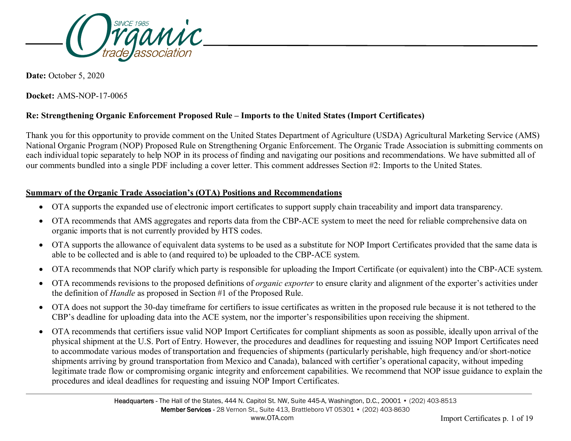

**Date:** October 5, 2020

**Docket:** AMS-NOP-17-0065

## **Re: Strengthening Organic Enforcement Proposed Rule – Imports to the United States (Import Certificates)**

Thank you for this opportunity to provide comment on the United States Department of Agriculture (USDA) Agricultural Marketing Service (AMS) National Organic Program (NOP) Proposed Rule on Strengthening Organic Enforcement. The Organic Trade Association is submitting comments on each individual topic separately to help NOP in its process of finding and navigating our positions and recommendations. We have submitted all of our comments bundled into a single PDF including a cover letter. This comment addresses Section #2: Imports to the United States.

#### **Summary of the Organic Trade Association's (OTA) Positions and Recommendations**

- OTA supports the expanded use of electronic import certificates to support supply chain traceability and import data transparency.
- OTA recommends that AMS aggregates and reports data from the CBP-ACE system to meet the need for reliable comprehensive data on organic imports that is not currently provided by HTS codes.
- OTA supports the allowance of equivalent data systems to be used as a substitute for NOP Import Certificates provided that the same data is able to be collected and is able to (and required to) be uploaded to the CBP-ACE system.
- OTA recommends that NOP clarify which party is responsible for uploading the Import Certificate (or equivalent) into the CBP-ACE system.
- OTA recommends revisions to the proposed definitions of *organic exporter* to ensure clarity and alignment of the exporter's activities under the definition of *Handle* as proposed in Section #1 of the Proposed Rule.
- OTA does not support the 30-day timeframe for certifiers to issue certificates as written in the proposed rule because it is not tethered to the CBP's deadline for uploading data into the ACE system, nor the importer's responsibilities upon receiving the shipment.
- OTA recommends that certifiers issue valid NOP Import Certificates for compliant shipments as soon as possible, ideally upon arrival of the physical shipment at the U.S. Port of Entry. However, the procedures and deadlines for requesting and issuing NOP Import Certificates need to accommodate various modes of transportation and frequencies of shipments (particularly perishable, high frequency and/or short-notice shipments arriving by ground transportation from Mexico and Canada), balanced with certifier's operational capacity, without impeding legitimate trade flow or compromising organic integrity and enforcement capabilities. We recommend that NOP issue guidance to explain the procedures and ideal deadlines for requesting and issuing NOP Import Certificates.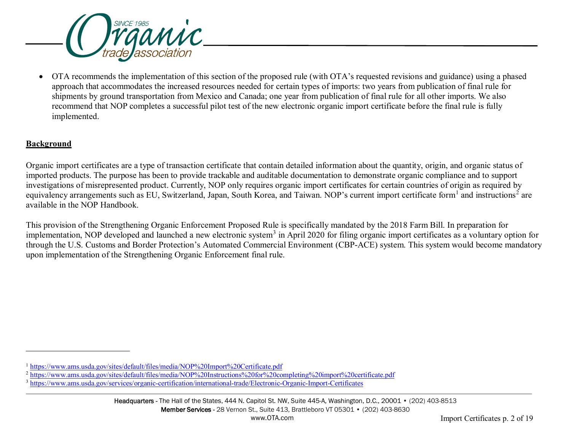<span id="page-1-2"></span><span id="page-1-1"></span><span id="page-1-0"></span>

• OTA recommends the implementation of this section of the proposed rule (with OTA's requested revisions and guidance) using a phased approach that accommodates the increased resources needed for certain types of imports: two years from publication of final rule for shipments by ground transportation from Mexico and Canada; one year from publication of final rule for all other imports. We also recommend that NOP completes a successful pilot test of the new electronic organic import certificate before the final rule is fully implemented.

## **Background**

-

Organic import certificates are a type of transaction certificate that contain detailed information about the quantity, origin, and organic status of imported products. The purpose has been to provide trackable and auditable documentation to demonstrate organic compliance and to support investigations of misrepresented product. Currently, NOP only requires organic import certificates for certain countries of origin as required by equivalency arrangements such as EU, Switzerland, Japan, South Korea, and Taiwan. NOP's current import certificate form<sup>[1](#page-1-0)</sup> and instructions<sup>[2](#page-1-1)</sup> are available in the NOP Handbook.

This provision of the Strengthening Organic Enforcement Proposed Rule is specifically mandated by the 2018 Farm Bill. In preparation for implementation, NOP developed and launched a new electronic system<sup>[3](#page-1-2)</sup> in April 2020 for filing organic import certificates as a voluntary option for through the U.S. Customs and Border Protection's Automated Commercial Environment (CBP-ACE) system. This system would become mandatory upon implementation of the Strengthening Organic Enforcement final rule.

<sup>1</sup> <https://www.ams.usda.gov/sites/default/files/media/NOP%20Import%20Certificate.pdf>

<sup>&</sup>lt;sup>2</sup> <https://www.ams.usda.gov/sites/default/files/media/NOP%20Instructions%20for%20completing%20import%20certificate.pdf>

<sup>3</sup> <https://www.ams.usda.gov/services/organic-certification/international-trade/Electronic-Organic-Import-Certificates>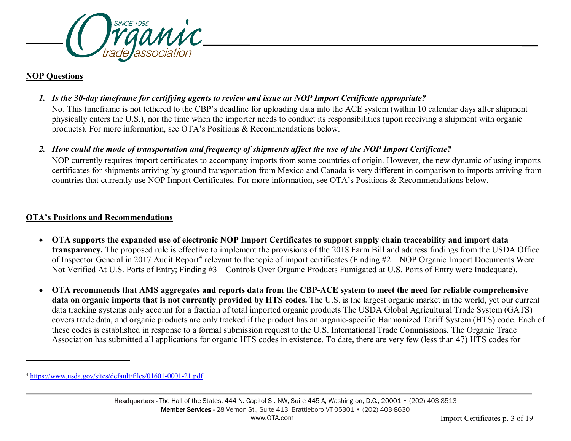<span id="page-2-0"></span>

## **NOP Questions**

-

*1. Is the 30-day timeframe for certifying agents to review and issue an NOP Import Certificate appropriate?*

No. This timeframe is not tethered to the CBP's deadline for uploading data into the ACE system (within 10 calendar days after shipment physically enters the U.S.), nor the time when the importer needs to conduct its responsibilities (upon receiving a shipment with organic products). For more information, see OTA's Positions & Recommendations below.

*2. How could the mode of transportation and frequency of shipments affect the use of the NOP Import Certificate?*

NOP currently requires import certificates to accompany imports from some countries of origin. However, the new dynamic of using imports certificates for shipments arriving by ground transportation from Mexico and Canada is very different in comparison to imports arriving from countries that currently use NOP Import Certificates. For more information, see OTA's Positions & Recommendations below.

# **OTA's Positions and Recommendations**

- **OTA supports the expanded use of electronic NOP Import Certificates to support supply chain traceability and import data transparency.** The proposed rule is effective to implement the provisions of the 2018 Farm Bill and address findings from the USDA Office of Inspector General in 2017 Audit Report<sup>[4](#page-2-0)</sup> relevant to the topic of import certificates (Finding  $#2 - NOP$  Organic Import Documents Were Not Verified At U.S. Ports of Entry; Finding #3 – Controls Over Organic Products Fumigated at U.S. Ports of Entry were Inadequate).
- **OTA recommends that AMS aggregates and reports data from the CBP-ACE system to meet the need for reliable comprehensive data on organic imports that is not currently provided by HTS codes.** The U.S. is the largest organic market in the world, yet our current data tracking systems only account for a fraction of total imported organic products The USDA Global Agricultural Trade System (GATS) covers trade data, and organic products are only tracked if the product has an organic-specific Harmonized Tariff System (HTS) code. Each of these codes is established in response to a formal submission request to the U.S. International Trade Commissions. The Organic Trade Association has submitted all applications for organic HTS codes in existence. To date, there are very few (less than 47) HTS codes for

<sup>4</sup> <https://www.usda.gov/sites/default/files/01601-0001-21.pdf>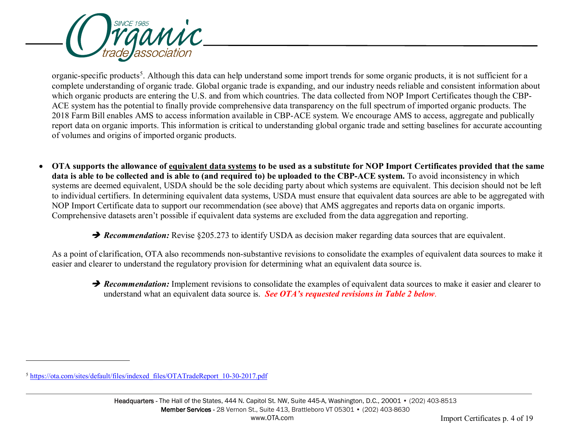<span id="page-3-0"></span>

organic-specific products<sup>[5](#page-3-0)</sup>. Although this data can help understand some import trends for some organic products, it is not sufficient for a complete understanding of organic trade. Global organic trade is expanding, and our industry needs reliable and consistent information about which organic products are entering the U.S. and from which countries. The data collected from NOP Import Certificates though the CBP-ACE system has the potential to finally provide comprehensive data transparency on the full spectrum of imported organic products. The 2018 Farm Bill enables AMS to access information available in CBP-ACE system. We encourage AMS to access, aggregate and publically report data on organic imports. This information is critical to understanding global organic trade and setting baselines for accurate accounting of volumes and origins of imported organic products.

• **OTA supports the allowance of equivalent data systems to be used as a substitute for NOP Import Certificates provided that the same data is able to be collected and is able to (and required to) be uploaded to the CBP-ACE system.** To avoid inconsistency in which systems are deemed equivalent, USDA should be the sole deciding party about which systems are equivalent. This decision should not be left to individual certifiers. In determining equivalent data systems, USDA must ensure that equivalent data sources are able to be aggregated with NOP Import Certificate data to support our recommendation (see above) that AMS aggregates and reports data on organic imports. Comprehensive datasets aren't possible if equivalent data systems are excluded from the data aggregation and reporting.

**→ Recommendation:** Revise §205.273 to identify USDA as decision maker regarding data sources that are equivalent.

As a point of clarification, OTA also recommends non-substantive revisions to consolidate the examples of equivalent data sources to make it easier and clearer to understand the regulatory provision for determining what an equivalent data source is.

**P** Recommendation: Implement revisions to consolidate the examples of equivalent data sources to make it easier and clearer to understand what an equivalent data source is. *See OTA's requested revisions in Table 2 below*.

-

<sup>5</sup> [https://ota.com/sites/default/files/indexed\\_files/OTATradeReport\\_10-30-2017.pdf](https://ota.com/sites/default/files/indexed_files/OTATradeReport_10-30-2017.pdf)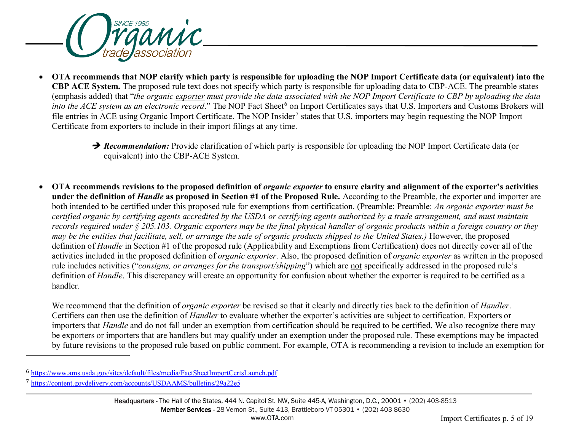<span id="page-4-1"></span><span id="page-4-0"></span>

- **OTA recommends that NOP clarify which party is responsible for uploading the NOP Import Certificate data (or equivalent) into the CBP ACE System.** The proposed rule text does not specify which party is responsible for uploading data to CBP-ACE. The preamble states (emphasis added) that "*the organic exporter must provide the data associated with the NOP Import Certificate to CBP by uploading the data into the ACE system as an electronic record.*" The NOP Fact Sheet<sup>[6](#page-4-0)</sup> on Import Certificates says that U.S. Importers and Customs Brokers will file entries in ACE using Organic Import Certificate. The NOP Insider<sup>[7](#page-4-1)</sup> states that U.S. importers may begin requesting the NOP Import Certificate from exporters to include in their import filings at any time.
	- **→ Recommendation:** Provide clarification of which party is responsible for uploading the NOP Import Certificate data (or equivalent) into the CBP-ACE System.
- OTA recommends revisions to the proposed definition of *organic exporter* to ensure clarity and alignment of the exporter's activities **under the definition of** *Handle* **as proposed in Section #1 of the Proposed Rule.** According to the Preamble, the exporter and importer are both intended to be certified under this proposed rule for exemptions from certification. (Preamble: Preamble: *An organic exporter must be certified organic by certifying agents accredited by the USDA or certifying agents authorized by a trade arrangement, and must maintain records required under § 205.103. Organic exporters may be the final physical handler of organic products within a foreign country or they may be the entities that facilitate, sell, or arrange the sale of organic products shipped to the United States.)* However, the proposed definition of *Handle* in Section #1 of the proposed rule (Applicability and Exemptions from Certification) does not directly cover all of the activities included in the proposed definition of *organic exporter*. Also, the proposed definition of *organic exporter* as written in the proposed rule includes activities ("*consigns, or arranges for the transport/shipping*") which are not specifically addressed in the proposed rule's definition of *Handle*. This discrepancy will create an opportunity for confusion about whether the exporter is required to be certified as a handler.

We recommend that the definition of *organic exporter* be revised so that it clearly and directly ties back to the definition of *Handler*. Certifiers can then use the definition of *Handler* to evaluate whether the exporter's activities are subject to certification. Exporters or importers that *Handle* and do not fall under an exemption from certification should be required to be certified. We also recognize there may be exporters or importers that are handlers but may qualify under an exemption under the proposed rule. These exemptions may be impacted by future revisions to the proposed rule based on public comment. For example, OTA is recommending a revision to include an exemption for

j

<sup>6</sup> <https://www.ams.usda.gov/sites/default/files/media/FactSheetImportCertsLaunch.pdf>

<sup>7</sup> <https://content.govdelivery.com/accounts/USDAAMS/bulletins/29a22e5>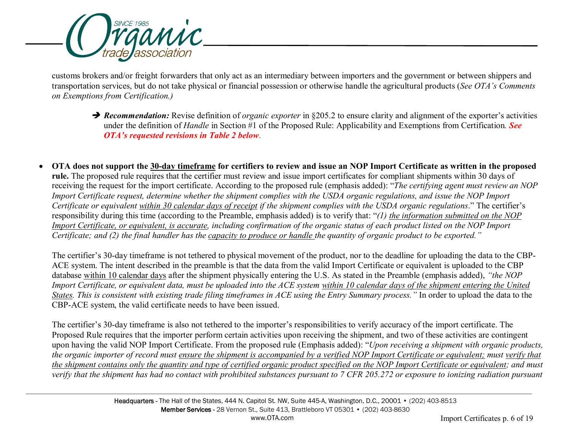

customs brokers and/or freight forwarders that only act as an intermediary between importers and the government or between shippers and transportation services, but do not take physical or financial possession or otherwise handle the agricultural products (*See OTA's Comments on Exemptions from Certification.)*

- **→ Recommendation:** Revise definition of *organic exporter* in §205.2 to ensure clarity and alignment of the exporter's activities under the definition of *Handle* in Section #1 of the Proposed Rule: Applicability and Exemptions from Certification*. See OTA's requested revisions in Table 2 below*.
- **OTA does not support the 30-day timeframe for certifiers to review and issue an NOP Import Certificate as written in the proposed rule.** The proposed rule requires that the certifier must review and issue import certificates for compliant shipments within 30 days of receiving the request for the import certificate. According to the proposed rule (emphasis added): "*The certifying agent must review an NOP Import Certificate request, determine whether the shipment complies with the USDA organic regulations, and issue the NOP Import Certificate or equivalent within 30 calendar days of receipt if the shipment complies with the USDA organic regulations*." The certifier's responsibility during this time (according to the Preamble, emphasis added) is to verify that: "*(1) the information submitted on the NOP Import Certificate, or equivalent, is accurate, including confirmation of the organic status of each product listed on the NOP Import Certificate; and (2) the final handler has the capacity to produce or handle the quantity of organic product to be exported."*

The certifier's 30-day timeframe is not tethered to physical movement of the product, nor to the deadline for uploading the data to the CBP-ACE system. The intent described in the preamble is that the data from the valid Import Certificate or equivalent is uploaded to the CBP database within 10 calendar days after the shipment physically entering the U.S. As stated in the Preamble (emphasis added), *"the NOP Import Certificate, or equivalent data, must be uploaded into the ACE system within 10 calendar days of the shipment entering the United States. This is consistent with existing trade filing timeframes in ACE using the Entry Summary process."* In order to upload the data to the CBP-ACE system, the valid certificate needs to have been issued.

The certifier's 30-day timeframe is also not tethered to the importer's responsibilities to verify accuracy of the import certificate. The Proposed Rule requires that the importer perform certain activities upon receiving the shipment, and two of these activities are contingent upon having the valid NOP Import Certificate. From the proposed rule (Emphasis added): "*Upon receiving a shipment with organic products, the organic importer of record must ensure the shipment is accompanied by a verified NOP Import Certificate or equivalent; must verify that the shipment contains only the quantity and type of certified organic product specified on the NOP Import Certificate or equivalent; and must verify that the shipment has had no contact with prohibited substances pursuant to 7 CFR 205.272 or exposure to ionizing radiation pursuant*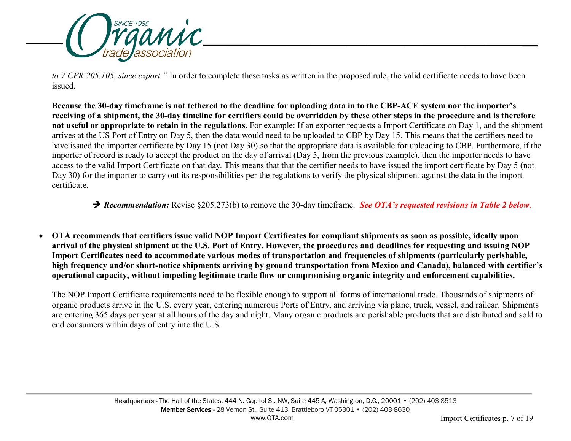

*to 7 CFR 205.105, since export."* In order to complete these tasks as written in the proposed rule, the valid certificate needs to have been issued.

**Because the 30-day timeframe is not tethered to the deadline for uploading data in to the CBP-ACE system nor the importer's receiving of a shipment, the 30-day timeline for certifiers could be overridden by these other steps in the procedure and is therefore not useful or appropriate to retain in the regulations.** For example: If an exporter requests a Import Certificate on Day 1, and the shipment arrives at the US Port of Entry on Day 5, then the data would need to be uploaded to CBP by Day 15. This means that the certifiers need to have issued the importer certificate by Day 15 (not Day 30) so that the appropriate data is available for uploading to CBP. Furthermore, if the importer of record is ready to accept the product on the day of arrival (Day 5, from the previous example), then the importer needs to have access to the valid Import Certificate on that day. This means that that the certifier needs to have issued the import certificate by Day 5 (not Day 30) for the importer to carry out its responsibilities per the regulations to verify the physical shipment against the data in the import certificate.

*Recommendation:* Revise §205.273(b) to remove the 30-day timeframe. *See OTA's requested revisions in Table 2 below*.

• **OTA recommends that certifiers issue valid NOP Import Certificates for compliant shipments as soon as possible, ideally upon arrival of the physical shipment at the U.S. Port of Entry. However, the procedures and deadlines for requesting and issuing NOP Import Certificates need to accommodate various modes of transportation and frequencies of shipments (particularly perishable, high frequency and/or short-notice shipments arriving by ground transportation from Mexico and Canada), balanced with certifier's operational capacity, without impeding legitimate trade flow or compromising organic integrity and enforcement capabilities.** 

The NOP Import Certificate requirements need to be flexible enough to support all forms of international trade. Thousands of shipments of organic products arrive in the U.S. every year, entering numerous Ports of Entry, and arriving via plane, truck, vessel, and railcar. Shipments are entering 365 days per year at all hours of the day and night. Many organic products are perishable products that are distributed and sold to end consumers within days of entry into the U.S.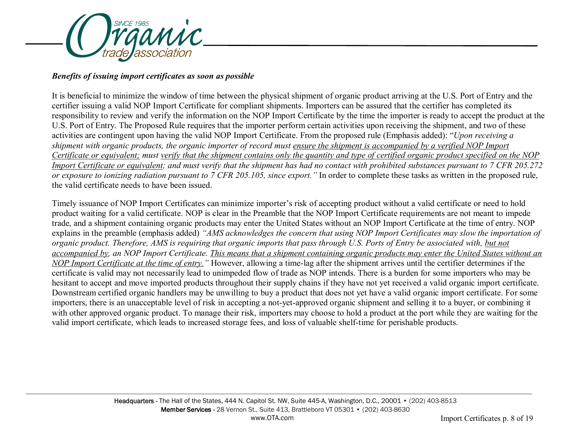

#### *Benefits of issuing import certificates as soon as possible*

It is beneficial to minimize the window of time between the physical shipment of organic product arriving at the U.S. Port of Entry and the certifier issuing a valid NOP Import Certificate for compliant shipments. Importers can be assured that the certifier has completed its responsibility to review and verify the information on the NOP Import Certificate by the time the importer is ready to accept the product at the U.S. Port of Entry. The Proposed Rule requires that the importer perform certain activities upon receiving the shipment, and two of these activities are contingent upon having the valid NOP Import Certificate. From the proposed rule (Emphasis added): "*Upon receiving a shipment with organic products, the organic importer of record must ensure the shipment is accompanied by a verified NOP Import Certificate or equivalent; must verify that the shipment contains only the quantity and type of certified organic product specified on the NOP Import Certificate or equivalent; and must verify that the shipment has had no contact with prohibited substances pursuant to 7 CFR 205.272 or exposure to ionizing radiation pursuant to 7 CFR 205.105, since export."* In order to complete these tasks as written in the proposed rule, the valid certificate needs to have been issued.

Timely issuance of NOP Import Certificates can minimize importer's risk of accepting product without a valid certificate or need to hold product waiting for a valid certificate. NOP is clear in the Preamble that the NOP Import Certificate requirements are not meant to impede trade, and a shipment containing organic products may enter the United States without an NOP Import Certificate at the time of entry. NOP explains in the preamble (emphasis added) *"AMS acknowledges the concern that using NOP Import Certificates may slow the importation of organic product. Therefore, AMS is requiring that organic imports that pass through U.S. Ports of Entry be associated with, but not accompanied by, an NOP Import Certificate. This means that a shipment containing organic products may enter the United States without an NOP Import Certificate at the time of entry."* However, allowing a time-lag after the shipment arrives until the certifier determines if the certificate is valid may not necessarily lead to unimpeded flow of trade as NOP intends. There is a burden for some importers who may be hesitant to accept and move imported products throughout their supply chains if they have not yet received a valid organic import certificate. Downstream certified organic handlers may be unwilling to buy a product that does not yet have a valid organic import certificate. For some importers, there is an unacceptable level of risk in accepting a not-yet-approved organic shipment and selling it to a buyer, or combining it with other approved organic product. To manage their risk, importers may choose to hold a product at the port while they are waiting for the valid import certificate, which leads to increased storage fees, and loss of valuable shelf-time for perishable products.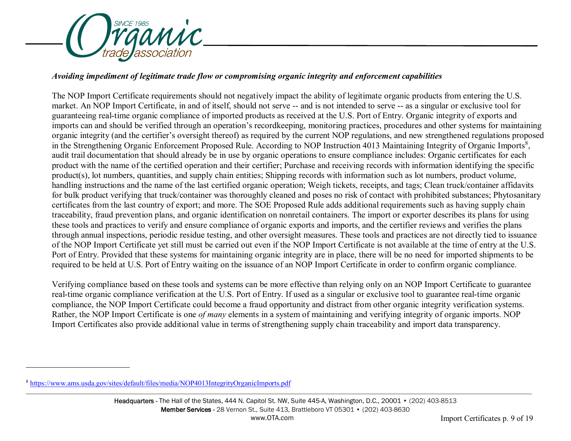<span id="page-8-0"></span>

#### *Avoiding impediment of legitimate trade flow or compromising organic integrity and enforcement capabilities*

The NOP Import Certificate requirements should not negatively impact the ability of legitimate organic products from entering the U.S. market. An NOP Import Certificate, in and of itself, should not serve -- and is not intended to serve -- as a singular or exclusive tool for guaranteeing real-time organic compliance of imported products as received at the U.S. Port of Entry. Organic integrity of exports and imports can and should be verified through an operation's recordkeeping, monitoring practices, procedures and other systems for maintaining organic integrity (and the certifier's oversight thereof) as required by the current NOP regulations, and new strengthened regulations proposed in the Strengthening Organic Enforcement Proposed Rule. According to NOP Instruction 4013 Maintaining Integrity of Organic Imports<sup>[8](#page-8-0)</sup>, audit trail documentation that should already be in use by organic operations to ensure compliance includes: Organic certificates for each product with the name of the certified operation and their certifier; Purchase and receiving records with information identifying the specific product(s), lot numbers, quantities, and supply chain entities; Shipping records with information such as lot numbers, product volume, handling instructions and the name of the last certified organic operation; Weigh tickets, receipts, and tags; Clean truck/container affidavits for bulk product verifying that truck/container was thoroughly cleaned and poses no risk of contact with prohibited substances; Phytosanitary certificates from the last country of export; and more. The SOE Proposed Rule adds additional requirements such as having supply chain traceability, fraud prevention plans, and organic identification on nonretail containers. The import or exporter describes its plans for using these tools and practices to verify and ensure compliance of organic exports and imports, and the certifier reviews and verifies the plans through annual inspections, periodic residue testing, and other oversight measures. These tools and practices are not directly tied to issuance of the NOP Import Certificate yet still must be carried out even if the NOP Import Certificate is not available at the time of entry at the U.S. Port of Entry. Provided that these systems for maintaining organic integrity are in place, there will be no need for imported shipments to be required to be held at U.S. Port of Entry waiting on the issuance of an NOP Import Certificate in order to confirm organic compliance.

Verifying compliance based on these tools and systems can be more effective than relying only on an NOP Import Certificate to guarantee real-time organic compliance verification at the U.S. Port of Entry. If used as a singular or exclusive tool to guarantee real-time organic compliance, the NOP Import Certificate could become a fraud opportunity and distract from other organic integrity verification systems. Rather, the NOP Import Certificate is one *of many* elements in a system of maintaining and verifying integrity of organic imports. NOP Import Certificates also provide additional value in terms of strengthening supply chain traceability and import data transparency.

-

<sup>8</sup> <https://www.ams.usda.gov/sites/default/files/media/NOP4013IntegrityOrganicImports.pdf>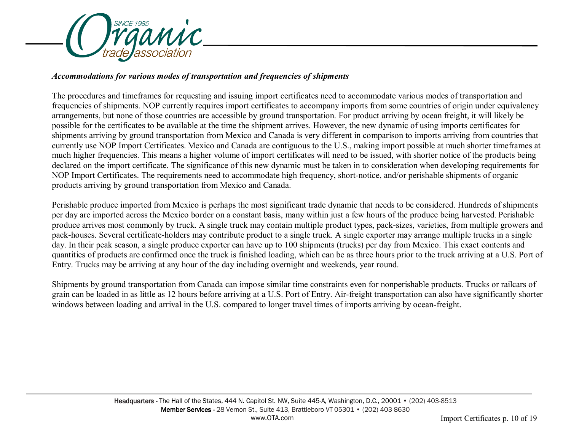

#### *Accommodations for various modes of transportation and frequencies of shipments*

The procedures and timeframes for requesting and issuing import certificates need to accommodate various modes of transportation and frequencies of shipments. NOP currently requires import certificates to accompany imports from some countries of origin under equivalency arrangements, but none of those countries are accessible by ground transportation. For product arriving by ocean freight, it will likely be possible for the certificates to be available at the time the shipment arrives. However, the new dynamic of using imports certificates for shipments arriving by ground transportation from Mexico and Canada is very different in comparison to imports arriving from countries that currently use NOP Import Certificates. Mexico and Canada are contiguous to the U.S., making import possible at much shorter timeframes at much higher frequencies. This means a higher volume of import certificates will need to be issued, with shorter notice of the products being declared on the import certificate. The significance of this new dynamic must be taken in to consideration when developing requirements for NOP Import Certificates. The requirements need to accommodate high frequency, short-notice, and/or perishable shipments of organic products arriving by ground transportation from Mexico and Canada.

Perishable produce imported from Mexico is perhaps the most significant trade dynamic that needs to be considered. Hundreds of shipments per day are imported across the Mexico border on a constant basis, many within just a few hours of the produce being harvested. Perishable produce arrives most commonly by truck. A single truck may contain multiple product types, pack-sizes, varieties, from multiple growers and pack-houses. Several certificate-holders may contribute product to a single truck. A single exporter may arrange multiple trucks in a single day. In their peak season, a single produce exporter can have up to 100 shipments (trucks) per day from Mexico. This exact contents and quantities of products are confirmed once the truck is finished loading, which can be as three hours prior to the truck arriving at a U.S. Port of Entry. Trucks may be arriving at any hour of the day including overnight and weekends, year round.

Shipments by ground transportation from Canada can impose similar time constraints even for nonperishable products. Trucks or railcars of grain can be loaded in as little as 12 hours before arriving at a U.S. Port of Entry. Air-freight transportation can also have significantly shorter windows between loading and arrival in the U.S. compared to longer travel times of imports arriving by ocean-freight.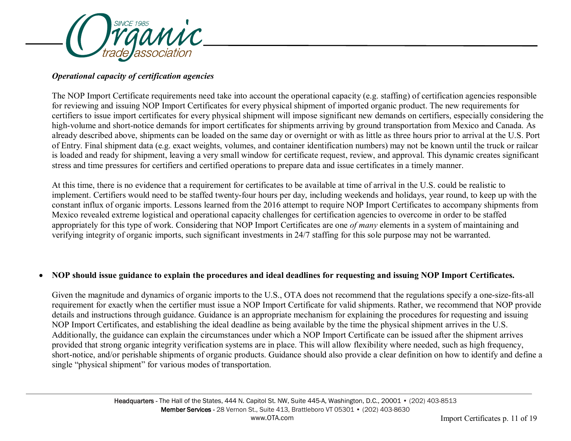

# *Operational capacity of certification agencies*

The NOP Import Certificate requirements need take into account the operational capacity (e.g. staffing) of certification agencies responsible for reviewing and issuing NOP Import Certificates for every physical shipment of imported organic product. The new requirements for certifiers to issue import certificates for every physical shipment will impose significant new demands on certifiers, especially considering the high-volume and short-notice demands for import certificates for shipments arriving by ground transportation from Mexico and Canada. As already described above, shipments can be loaded on the same day or overnight or with as little as three hours prior to arrival at the U.S. Port of Entry. Final shipment data (e.g. exact weights, volumes, and container identification numbers) may not be known until the truck or railcar is loaded and ready for shipment, leaving a very small window for certificate request, review, and approval. This dynamic creates significant stress and time pressures for certifiers and certified operations to prepare data and issue certificates in a timely manner.

At this time, there is no evidence that a requirement for certificates to be available at time of arrival in the U.S. could be realistic to implement. Certifiers would need to be staffed twenty-four hours per day, including weekends and holidays, year round, to keep up with the constant influx of organic imports. Lessons learned from the 2016 attempt to require NOP Import Certificates to accompany shipments from Mexico revealed extreme logistical and operational capacity challenges for certification agencies to overcome in order to be staffed appropriately for this type of work. Considering that NOP Import Certificates are one *of many* elements in a system of maintaining and verifying integrity of organic imports, such significant investments in 24/7 staffing for this sole purpose may not be warranted.

## • **NOP should issue guidance to explain the procedures and ideal deadlines for requesting and issuing NOP Import Certificates.**

Given the magnitude and dynamics of organic imports to the U.S., OTA does not recommend that the regulations specify a one-size-fits-all requirement for exactly when the certifier must issue a NOP Import Certificate for valid shipments. Rather, we recommend that NOP provide details and instructions through guidance. Guidance is an appropriate mechanism for explaining the procedures for requesting and issuing NOP Import Certificates, and establishing the ideal deadline as being available by the time the physical shipment arrives in the U.S. Additionally, the guidance can explain the circumstances under which a NOP Import Certificate can be issued after the shipment arrives provided that strong organic integrity verification systems are in place. This will allow flexibility where needed, such as high frequency, short-notice, and/or perishable shipments of organic products. Guidance should also provide a clear definition on how to identify and define a single "physical shipment" for various modes of transportation.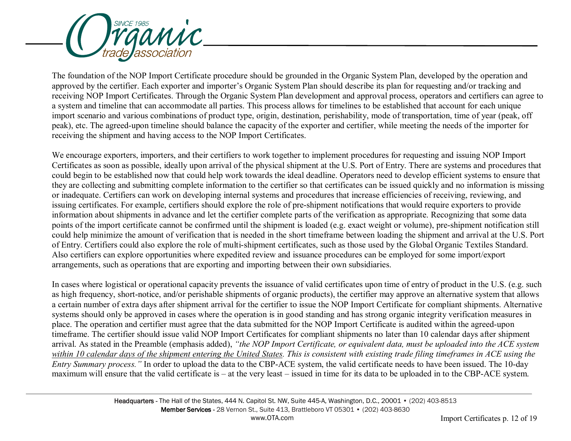

The foundation of the NOP Import Certificate procedure should be grounded in the Organic System Plan, developed by the operation and approved by the certifier. Each exporter and importer's Organic System Plan should describe its plan for requesting and/or tracking and receiving NOP Import Certificates. Through the Organic System Plan development and approval process, operators and certifiers can agree to a system and timeline that can accommodate all parties. This process allows for timelines to be established that account for each unique import scenario and various combinations of product type, origin, destination, perishability, mode of transportation, time of year (peak, off peak), etc. The agreed-upon timeline should balance the capacity of the exporter and certifier, while meeting the needs of the importer for receiving the shipment and having access to the NOP Import Certificates.

We encourage exporters, importers, and their certifiers to work together to implement procedures for requesting and issuing NOP Import Certificates as soon as possible, ideally upon arrival of the physical shipment at the U.S. Port of Entry. There are systems and procedures that could begin to be established now that could help work towards the ideal deadline. Operators need to develop efficient systems to ensure that they are collecting and submitting complete information to the certifier so that certificates can be issued quickly and no information is missing or inadequate. Certifiers can work on developing internal systems and procedures that increase efficiencies of receiving, reviewing, and issuing certificates. For example, certifiers should explore the role of pre-shipment notifications that would require exporters to provide information about shipments in advance and let the certifier complete parts of the verification as appropriate. Recognizing that some data points of the import certificate cannot be confirmed until the shipment is loaded (e.g. exact weight or volume), pre-shipment notification still could help minimize the amount of verification that is needed in the short timeframe between loading the shipment and arrival at the U.S. Port of Entry. Certifiers could also explore the role of multi-shipment certificates, such as those used by the Global Organic Textiles Standard. Also certifiers can explore opportunities where expedited review and issuance procedures can be employed for some import/export arrangements, such as operations that are exporting and importing between their own subsidiaries.

In cases where logistical or operational capacity prevents the issuance of valid certificates upon time of entry of product in the U.S. (e.g. such as high frequency, short-notice, and/or perishable shipments of organic products), the certifier may approve an alternative system that allows a certain number of extra days after shipment arrival for the certifier to issue the NOP Import Certificate for compliant shipments. Alternative systems should only be approved in cases where the operation is in good standing and has strong organic integrity verification measures in place. The operation and certifier must agree that the data submitted for the NOP Import Certificate is audited within the agreed-upon timeframe. The certifier should issue valid NOP Import Certificates for compliant shipments no later than 10 calendar days after shipment arrival. As stated in the Preamble (emphasis added), *"the NOP Import Certificate, or equivalent data, must be uploaded into the ACE system within 10 calendar days of the shipment entering the United States. This is consistent with existing trade filing timeframes in ACE using the Entry Summary process."* In order to upload the data to the CBP-ACE system, the valid certificate needs to have been issued. The 10-day maximum will ensure that the valid certificate is – at the very least – issued in time for its data to be uploaded in to the CBP-ACE system.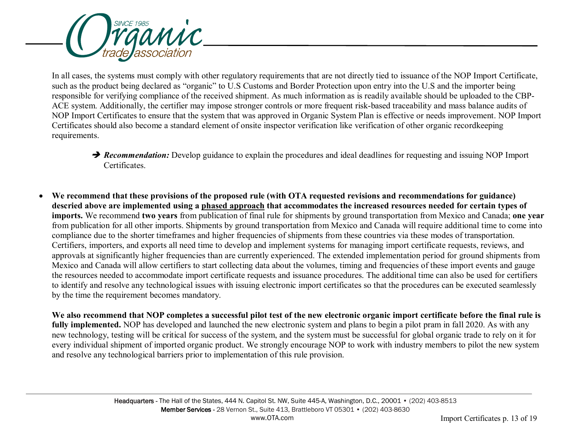

In all cases, the systems must comply with other regulatory requirements that are not directly tied to issuance of the NOP Import Certificate, such as the product being declared as "organic" to U.S Customs and Border Protection upon entry into the U.S and the importer being responsible for verifying compliance of the received shipment. As much information as is readily available should be uploaded to the CBP-ACE system. Additionally, the certifier may impose stronger controls or more frequent risk-based traceability and mass balance audits of NOP Import Certificates to ensure that the system that was approved in Organic System Plan is effective or needs improvement. NOP Import Certificates should also become a standard element of onsite inspector verification like verification of other organic recordkeeping requirements.

- **→ Recommendation:** Develop guidance to explain the procedures and ideal deadlines for requesting and issuing NOP Import Certificates.
- **We recommend that these provisions of the proposed rule (with OTA requested revisions and recommendations for guidance) descried above are implemented using a phased approach that accommodates the increased resources needed for certain types of imports.** We recommend **two years** from publication of final rule for shipments by ground transportation from Mexico and Canada; **one year** from publication for all other imports. Shipments by ground transportation from Mexico and Canada will require additional time to come into compliance due to the shorter timeframes and higher frequencies of shipments from these countries via these modes of transportation. Certifiers, importers, and exports all need time to develop and implement systems for managing import certificate requests, reviews, and approvals at significantly higher frequencies than are currently experienced. The extended implementation period for ground shipments from Mexico and Canada will allow certifiers to start collecting data about the volumes, timing and frequencies of these import events and gauge the resources needed to accommodate import certificate requests and issuance procedures. The additional time can also be used for certifiers to identify and resolve any technological issues with issuing electronic import certificates so that the procedures can be executed seamlessly by the time the requirement becomes mandatory.

**We also recommend that NOP completes a successful pilot test of the new electronic organic import certificate before the final rule is fully implemented.** NOP has developed and launched the new electronic system and plans to begin a pilot pram in fall 2020. As with any new technology, testing will be critical for success of the system, and the system must be successful for global organic trade to rely on it for every individual shipment of imported organic product. We strongly encourage NOP to work with industry members to pilot the new system and resolve any technological barriers prior to implementation of this rule provision.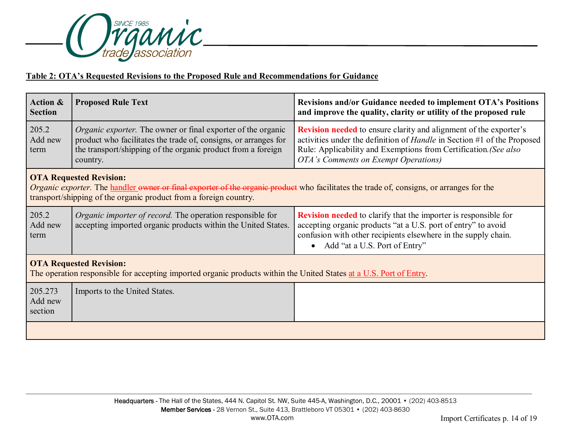

# **Table 2: OTA's Requested Revisions to the Proposed Rule and Recommendations for Guidance**

| Action &<br><b>Section</b>                                                                                                                                                                                                                      | <b>Proposed Rule Text</b>                                                                                                                                                                                           | Revisions and/or Guidance needed to implement OTA's Positions<br>and improve the quality, clarity or utility of the proposed rule                                                                                                                                      |  |
|-------------------------------------------------------------------------------------------------------------------------------------------------------------------------------------------------------------------------------------------------|---------------------------------------------------------------------------------------------------------------------------------------------------------------------------------------------------------------------|------------------------------------------------------------------------------------------------------------------------------------------------------------------------------------------------------------------------------------------------------------------------|--|
| 205.2<br>Add new<br>term                                                                                                                                                                                                                        | <i>Organic exporter</i> . The owner or final exporter of the organic<br>product who facilitates the trade of, consigns, or arranges for<br>the transport/shipping of the organic product from a foreign<br>country. | <b>Revision needed</b> to ensure clarity and alignment of the exporter's<br>activities under the definition of <i>Handle</i> in Section #1 of the Proposed<br>Rule: Applicability and Exemptions from Certification. (See also<br>OTA's Comments on Exempt Operations) |  |
| <b>OTA Requested Revision:</b><br>Organic exporter. The handler owner or final exporter of the organic product who facilitates the trade of, consigns, or arranges for the<br>transport/shipping of the organic product from a foreign country. |                                                                                                                                                                                                                     |                                                                                                                                                                                                                                                                        |  |
| 205.2<br>Add new<br>term                                                                                                                                                                                                                        | <i>Organic importer of record.</i> The operation responsible for<br>accepting imported organic products within the United States.                                                                                   | <b>Revision needed</b> to clarify that the importer is responsible for<br>accepting organic products "at a U.S. port of entry" to avoid<br>confusion with other recipients elsewhere in the supply chain.<br>Add "at a U.S. Port of Entry"<br>$\bullet$                |  |
| <b>OTA Requested Revision:</b><br>The operation responsible for accepting imported organic products within the United States at a U.S. Port of Entry.                                                                                           |                                                                                                                                                                                                                     |                                                                                                                                                                                                                                                                        |  |
| 205.273<br>Add new<br>section                                                                                                                                                                                                                   | Imports to the United States.                                                                                                                                                                                       |                                                                                                                                                                                                                                                                        |  |
|                                                                                                                                                                                                                                                 |                                                                                                                                                                                                                     |                                                                                                                                                                                                                                                                        |  |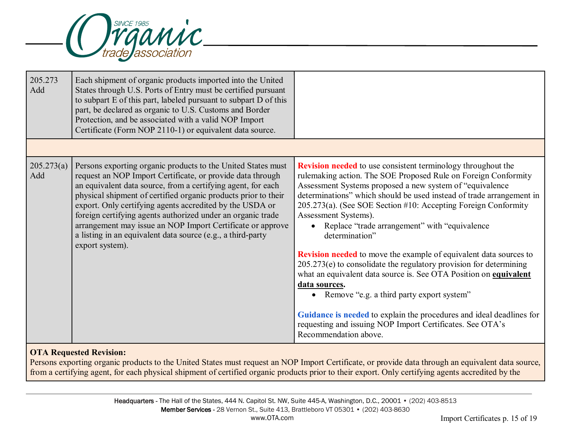

| 205.273<br>Add    | Each shipment of organic products imported into the United<br>States through U.S. Ports of Entry must be certified pursuant<br>to subpart E of this part, labeled pursuant to subpart D of this<br>part, be declared as organic to U.S. Customs and Border<br>Protection, and be associated with a valid NOP Import<br>Certificate (Form NOP 2110-1) or equivalent data source.                                                                                                                                                         |                                                                                                                                                                                                                                                                                                                                                                                                                                                                                                                                                                                                                                                                                                                                                                                                                                                                                               |
|-------------------|-----------------------------------------------------------------------------------------------------------------------------------------------------------------------------------------------------------------------------------------------------------------------------------------------------------------------------------------------------------------------------------------------------------------------------------------------------------------------------------------------------------------------------------------|-----------------------------------------------------------------------------------------------------------------------------------------------------------------------------------------------------------------------------------------------------------------------------------------------------------------------------------------------------------------------------------------------------------------------------------------------------------------------------------------------------------------------------------------------------------------------------------------------------------------------------------------------------------------------------------------------------------------------------------------------------------------------------------------------------------------------------------------------------------------------------------------------|
|                   |                                                                                                                                                                                                                                                                                                                                                                                                                                                                                                                                         |                                                                                                                                                                                                                                                                                                                                                                                                                                                                                                                                                                                                                                                                                                                                                                                                                                                                                               |
| 205.273(a)<br>Add | Persons exporting organic products to the United States must<br>request an NOP Import Certificate, or provide data through<br>an equivalent data source, from a certifying agent, for each<br>physical shipment of certified organic products prior to their<br>export. Only certifying agents accredited by the USDA or<br>foreign certifying agents authorized under an organic trade<br>arrangement may issue an NOP Import Certificate or approve<br>a listing in an equivalent data source (e.g., a third-party<br>export system). | <b>Revision needed</b> to use consistent terminology throughout the<br>rulemaking action. The SOE Proposed Rule on Foreign Conformity<br>Assessment Systems proposed a new system of "equivalence<br>determinations" which should be used instead of trade arrangement in<br>205.273(a). (See SOE Section #10: Accepting Foreign Conformity<br>Assessment Systems).<br>Replace "trade arrangement" with "equivalence<br>determination"<br><b>Revision needed</b> to move the example of equivalent data sources to<br>$205.273(e)$ to consolidate the regulatory provision for determining<br>what an equivalent data source is. See OTA Position on equivalent<br>data sources.<br>• Remove "e.g. a third party export system"<br>Guidance is needed to explain the procedures and ideal deadlines for<br>requesting and issuing NOP Import Certificates. See OTA's<br>Recommendation above. |

# **OTA Requested Revision:**

Persons exporting organic products to the United States must request an NOP Import Certificate, or provide data through an equivalent data source, from a certifying agent, for each physical shipment of certified organic products prior to their export. Only certifying agents accredited by the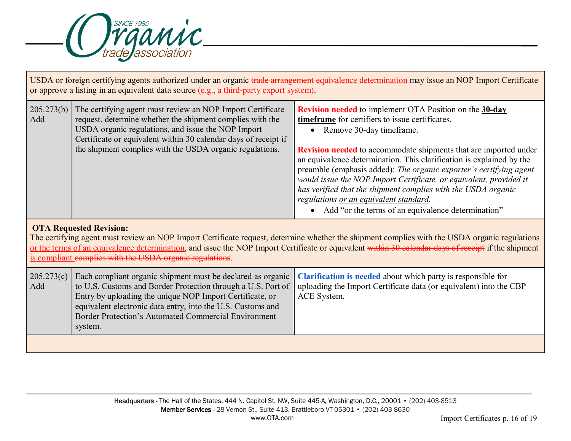

| USDA or foreign certifying agents authorized under an organic trade arrangement equivalence determination may issue an NOP Import Certificate<br>or approve a listing in an equivalent data source $(e.g., a third-party export system)$ .                                                                                                                                                         |                                                                                                                                                                                                                                                                                                                           |                                                                                                                                                                                                                                                                                                                                                                                                                                                                                                                                                                                                                            |  |
|----------------------------------------------------------------------------------------------------------------------------------------------------------------------------------------------------------------------------------------------------------------------------------------------------------------------------------------------------------------------------------------------------|---------------------------------------------------------------------------------------------------------------------------------------------------------------------------------------------------------------------------------------------------------------------------------------------------------------------------|----------------------------------------------------------------------------------------------------------------------------------------------------------------------------------------------------------------------------------------------------------------------------------------------------------------------------------------------------------------------------------------------------------------------------------------------------------------------------------------------------------------------------------------------------------------------------------------------------------------------------|--|
| 205.273(b)<br>Add                                                                                                                                                                                                                                                                                                                                                                                  | The certifying agent must review an NOP Import Certificate<br>request, determine whether the shipment complies with the<br>USDA organic regulations, and issue the NOP Import<br>Certificate or equivalent within 30 calendar days of receipt if<br>the shipment complies with the USDA organic regulations.              | <b>Revision needed</b> to implement OTA Position on the 30-day<br>timeframe for certifiers to issue certificates.<br>Remove 30-day timeframe.<br>$\bullet$<br><b>Revision needed</b> to accommodate shipments that are imported under<br>an equivalence determination. This clarification is explained by the<br>preamble (emphasis added): The organic exporter's certifying agent<br>would issue the NOP Import Certificate, or equivalent, provided it<br>has verified that the shipment complies with the USDA organic<br>regulations or an equivalent standard.<br>Add "or the terms of an equivalence determination" |  |
| <b>OTA Requested Revision:</b><br>The certifying agent must review an NOP Import Certificate request, determine whether the shipment complies with the USDA organic regulations<br>or the terms of an equivalence determination, and issue the NOP Import Certificate or equivalent within 30 calendar days of receipt if the shipment<br>is compliant complies with the USDA organic regulations. |                                                                                                                                                                                                                                                                                                                           |                                                                                                                                                                                                                                                                                                                                                                                                                                                                                                                                                                                                                            |  |
| 205.273(c)<br>Add                                                                                                                                                                                                                                                                                                                                                                                  | Each compliant organic shipment must be declared as organic<br>to U.S. Customs and Border Protection through a U.S. Port of<br>Entry by uploading the unique NOP Import Certificate, or<br>equivalent electronic data entry, into the U.S. Customs and<br>Border Protection's Automated Commercial Environment<br>system. | Clarification is needed about which party is responsible for<br>uploading the Import Certificate data (or equivalent) into the CBP<br>ACE System.                                                                                                                                                                                                                                                                                                                                                                                                                                                                          |  |
|                                                                                                                                                                                                                                                                                                                                                                                                    |                                                                                                                                                                                                                                                                                                                           |                                                                                                                                                                                                                                                                                                                                                                                                                                                                                                                                                                                                                            |  |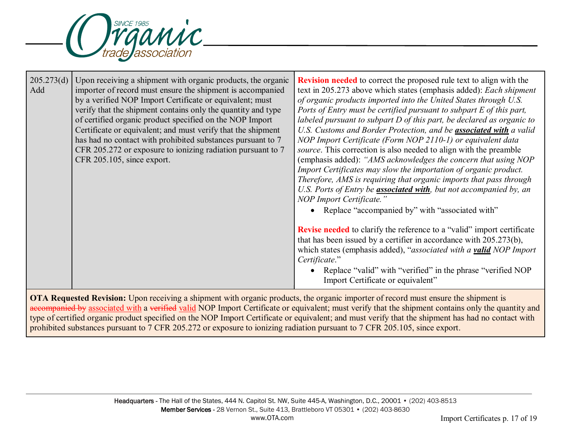

| 205.273(d)<br>Add | Upon receiving a shipment with organic products, the organic<br>importer of record must ensure the shipment is accompanied<br>by a verified NOP Import Certificate or equivalent; must<br>verify that the shipment contains only the quantity and type<br>of certified organic product specified on the NOP Import<br>Certificate or equivalent; and must verify that the shipment<br>has had no contact with prohibited substances pursuant to 7<br>CFR 205.272 or exposure to ionizing radiation pursuant to 7<br>CFR 205.105, since export. | <b>Revision needed</b> to correct the proposed rule text to align with the<br>text in 205.273 above which states (emphasis added): Each shipment<br>of organic products imported into the United States through U.S.<br>Ports of Entry must be certified pursuant to subpart E of this part,<br>labeled pursuant to subpart $D$ of this part, be declared as organic to<br>U.S. Customs and Border Protection, and be <b>associated with</b> a valid<br>NOP Import Certificate (Form NOP 2110-1) or equivalent data<br>source. This correction is also needed to align with the preamble<br>(emphasis added): "AMS acknowledges the concern that using NOP<br>Import Certificates may slow the importation of organic product.<br>Therefore, AMS is requiring that organic imports that pass through<br>U.S. Ports of Entry be <b>associated with</b> , but not accompanied by, an<br>NOP Import Certificate."<br>• Replace "accompanied by" with "associated with" |
|-------------------|------------------------------------------------------------------------------------------------------------------------------------------------------------------------------------------------------------------------------------------------------------------------------------------------------------------------------------------------------------------------------------------------------------------------------------------------------------------------------------------------------------------------------------------------|---------------------------------------------------------------------------------------------------------------------------------------------------------------------------------------------------------------------------------------------------------------------------------------------------------------------------------------------------------------------------------------------------------------------------------------------------------------------------------------------------------------------------------------------------------------------------------------------------------------------------------------------------------------------------------------------------------------------------------------------------------------------------------------------------------------------------------------------------------------------------------------------------------------------------------------------------------------------|
|                   |                                                                                                                                                                                                                                                                                                                                                                                                                                                                                                                                                | <b>Revise needed</b> to clarify the reference to a "valid" import certificate<br>that has been issued by a certifier in accordance with 205.273(b),<br>which states (emphasis added), "associated with a valid NOP Import<br>Certificate."<br>Replace "valid" with "verified" in the phrase "verified NOP<br>Import Certificate or equivalent"                                                                                                                                                                                                                                                                                                                                                                                                                                                                                                                                                                                                                      |

**OTA Requested Revision:** Upon receiving a shipment with organic products, the organic importer of record must ensure the shipment is accompanied by associated with a verified valid NOP Import Certificate or equivalent; must verify that the shipment contains only the quantity and type of certified organic product specified on the NOP Import Certificate or equivalent; and must verify that the shipment has had no contact with prohibited substances pursuant to 7 CFR 205.272 or exposure to ionizing radiation pursuant to 7 CFR 205.105, since export.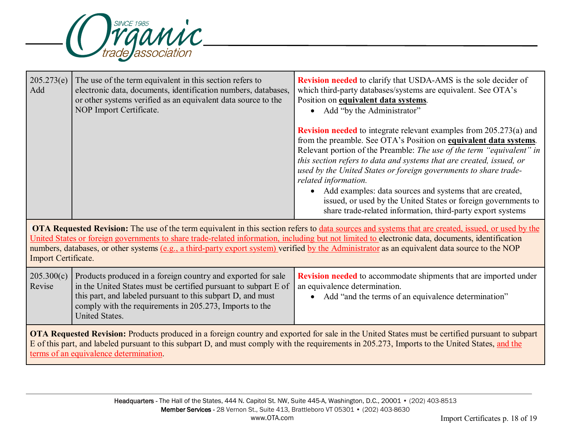

| 205.273(e)<br>Add                                                                                                                                                                                                                                                                                                                                                                                                                                                               | The use of the term equivalent in this section refers to<br>electronic data, documents, identification numbers, databases,<br>or other systems verified as an equivalent data source to the<br>NOP Import Certificate.                                                      | <b>Revision needed</b> to clarify that USDA-AMS is the sole decider of<br>which third-party databases/systems are equivalent. See OTA's<br>Position on <i>equivalent data systems</i> .<br>Add "by the Administrator"                                                                                                                                                                                                                                                                                                                                                                            |  |
|---------------------------------------------------------------------------------------------------------------------------------------------------------------------------------------------------------------------------------------------------------------------------------------------------------------------------------------------------------------------------------------------------------------------------------------------------------------------------------|-----------------------------------------------------------------------------------------------------------------------------------------------------------------------------------------------------------------------------------------------------------------------------|--------------------------------------------------------------------------------------------------------------------------------------------------------------------------------------------------------------------------------------------------------------------------------------------------------------------------------------------------------------------------------------------------------------------------------------------------------------------------------------------------------------------------------------------------------------------------------------------------|--|
|                                                                                                                                                                                                                                                                                                                                                                                                                                                                                 |                                                                                                                                                                                                                                                                             | <b>Revision needed</b> to integrate relevant examples from 205.273(a) and<br>from the preamble. See OTA's Position on <b>equivalent data systems</b> .<br>Relevant portion of the Preamble: The use of the term "equivalent" in<br>this section refers to data and systems that are created, issued, or<br>used by the United States or foreign governments to share trade-<br>related information.<br>Add examples: data sources and systems that are created,<br>issued, or used by the United States or foreign governments to<br>share trade-related information, third-party export systems |  |
| OTA Requested Revision: The use of the term equivalent in this section refers to data sources and systems that are created, issued, or used by the<br>United States or foreign governments to share trade-related information, including but not limited to electronic data, documents, identification<br>numbers, databases, or other systems (e.g., a third-party export system) verified by the Administrator as an equivalent data source to the NOP<br>Import Certificate. |                                                                                                                                                                                                                                                                             |                                                                                                                                                                                                                                                                                                                                                                                                                                                                                                                                                                                                  |  |
| 205.300(c)<br>Revise                                                                                                                                                                                                                                                                                                                                                                                                                                                            | Products produced in a foreign country and exported for sale<br>in the United States must be certified pursuant to subpart E of<br>this part, and labeled pursuant to this subpart D, and must<br>comply with the requirements in 205.273, Imports to the<br>United States. | Revision needed to accommodate shipments that are imported under<br>an equivalence determination.<br>Add "and the terms of an equivalence determination"<br>$\bullet$                                                                                                                                                                                                                                                                                                                                                                                                                            |  |
| OTA Requested Revision: Products produced in a foreign country and exported for sale in the United States must be certified pursuant to subpart<br>E of this part, and labeled pursuant to this subpart D, and must comply with the requirements in 205.273, Imports to the United States, and the<br>terms of an equivalence determination.                                                                                                                                    |                                                                                                                                                                                                                                                                             |                                                                                                                                                                                                                                                                                                                                                                                                                                                                                                                                                                                                  |  |